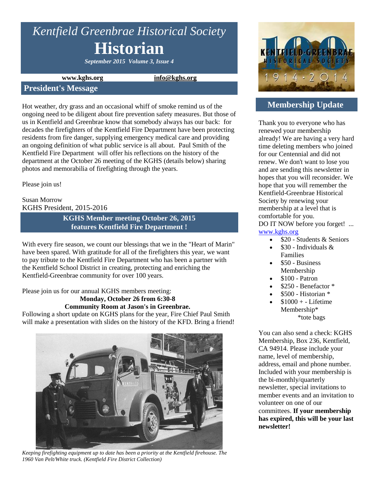# *Kentfield Greenbrae Historical Society* **Historian**

*September 2015 Volume 3, Issue 4*

#### **www.kghs.org [info@kghs.org](mailto:info@kghs.org)**

#### **President's Message**

Hot weather, dry grass and an occasional whiff of smoke remind us of the ongoing need to be diligent about fire prevention safety measures. But those of us in Kentfield and Greenbrae know that somebody always has our back: for decades the firefighters of the Kentfield Fire Department have been protecting residents from fire danger, supplying emergency medical care and providing an ongoing definition of what public service is all about. Paul Smith of the Kentfield Fire Department will offer his reflections on the history of the department at the October 26 meeting of the KGHS (details below) sharing photos and memorabilia of firefighting through the years.

Please join us!

#### Susan Morrow KGHS President, 2015-2016

**KGHS Member meeting October 26, 2015 features Kentfield Fire Department !**

With every fire season, we count our blessings that we in the "Heart of Marin" have been spared. With gratitude for all of the firefighters this year, we want to pay tribute to the Kentfield Fire Department who has been a partner with the Kentfield School District in creating, protecting and enriching the Kentfield-Greenbrae community for over 100 years.

Please join us for our annual KGHS members meeting: **Monday, October 26 from 6:30-8** 

# **Community Room at Jason's in Greenbrae.**

Following a short update on KGHS plans for the year, Fire Chief Paul Smith will make a presentation with slides on the history of the KFD. Bring a friend!



*Keeping firefighting equipment up to date has been a priority at the Kentfield firehouse. The 1960 Van Pelt/White truck. (Kentfield Fire District Collection)*



# **Membership Update**

Thank you to everyone who has renewed your membership already! We are having a very hard time deleting members who joined for our Centennial and did not renew. We don't want to lose you and are sending this newsletter in hopes that you will reconsider. We hope that you will remember the Kentfield-Greenbrae Historical Society by renewing your membership at a level that is comfortable for you. DO IT NOW before you forget! ...

[www.kghs.org](http://www.kghs.org/) 

- $\bullet$  \$20 Students & Seniors
- $\bullet$  \$30 Individuals & Families
- \$50 Business Membership
- \$100 Patron
- \$250 Benefactor \*
- \$500 Historian \*
- $$1000 + Lifetime$ Membership\* \*tote bags

You can also send a check: KGHS Membership, Box 236, Kentfield, CA 94914. Please include your name, level of membership, address, email and phone number. Included with your membership is the bi-monthly/quarterly newsletter, special invitations to member events and an invitation to volunteer on one of our committees. **If your membership has expired, this will be your last newsletter!**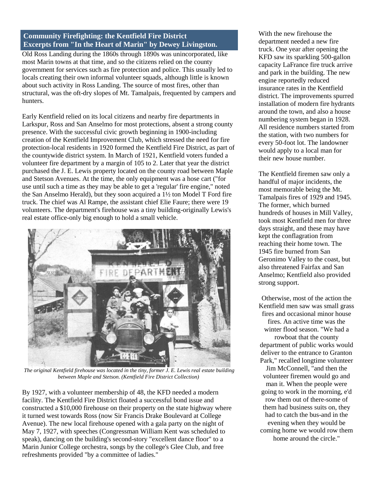## **Community Firefighting: the Kentfield Fire District Excerpts from "In the Heart of Marin" by Dewey Livingston.**

Old Ross Landing during the 1860s through 1890s was unincorporated, like most Marin towns at that time, and so the citizens relied on the county government for services such as fire protection and police. This usually led to locals creating their own informal volunteer squads, although little is known about such activity in Ross Landing. The source of most fires, other than structural, was the oft-dry slopes of Mt. Tamalpais, frequented by campers and hunters.

Early Kentfield relied on its local citizens and nearby fire departments in Larkspur, Ross and San Anselmo for most protections, absent a strong county presence. With the successful civic growth beginning in 1900-including creation of the Kentfield Improvement Club, which stressed the need for fire protection-local residents in 1920 formed the Kentfield Fire District, as part of the countywide district system. In March of 1921, Kentfield voters funded a volunteer fire department by a margin of 105 to 2. Later that year the district purchased the J. E. Lewis property located on the county road between Maple and Stetson Avenues. At the time, the only equipment was a hose cart ("for use until such a time as they may be able to get a 'regular' fire engine," noted the San Anselmo Herald), but they soon acquired a 1½ ton Model T Ford fire truck. The chief was Al Rampe, the assistant chief Elie Faure; there were 19 volunteers. The department's firehouse was a tiny building-originally Lewis's real estate office-only big enough to hold a small vehicle.



*The original Kentfield firehouse was located in the tiny, former J. E. Lewis real estate building between Maple and Stetson. (Kentfield Fire District Collection)*

By 1927, with a volunteer membership of 48, the KFD needed a modern facility. The Kentfield Fire District floated a successful bond issue and constructed a \$10,000 firehouse on their property on the state highway where it turned west towards Ross (now Sir Francis Drake Boulevard at College Avenue). The new local firehouse opened with a gala party on the night of May 7, 1927, with speeches (Congressman William Kent was scheduled to speak), dancing on the building's second-story "excellent dance floor" to a Marin Junior College orchestra, songs by the college's Glee Club, and free refreshments provided "by a committee of ladies."

With the new firehouse the department needed a new fire truck. One year after opening the KFD saw its sparkling 500-gallon capacity LaFrance fire truck arrive and park in the building. The new engine reportedly reduced insurance rates in the Kentfield district. The improvements spurred installation of modern fire hydrants around the town, and also a house numbering system began in 1928. All residence numbers started from the station, with two numbers for every 50-foot lot. The landowner would apply to a local man for their new house number.

The Kentfield firemen saw only a handful of major incidents, the most memorable being the Mt. Tamalpais fires of 1929 and 1945. The former, which burned hundreds of houses in Mill Valley, took most Kentfield men for three days straight, and these may have kept the conflagration from reaching their home town. The 1945 fire burned from San Geronimo Valley to the coast, but also threatened Fairfax and San Anselmo; Kentfield also provided strong support.

Otherwise, most of the action the Kentfield men saw was small grass fires and occasional minor house fires. An active time was the winter flood season. "We had a rowboat that the county department of public works would deliver to the entrance to Granton Park," recalled longtime volunteer Jim McConnell, "and then the volunteer firemen would go and man it. When the people were going to work in the morning, e'd row them out of there-some of them had business suits on, they had to catch the bus-and in the evening when they would be coming home we would row them home around the circle."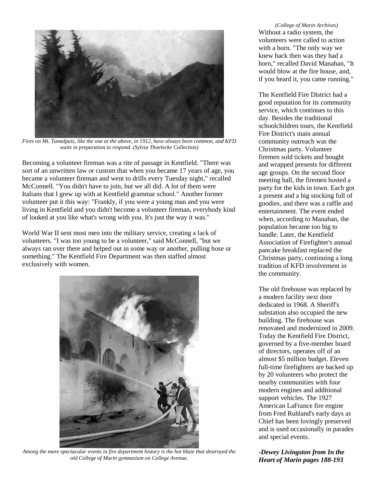

*Fires on Mt. Tamalpais, like the one at the above, in 1912, have always been common, and KFD waits in preparation to respond. (Sylvia Thoelecke Collection)*

Becoming a volunteer fireman was a rite of passage in Kentfield. "There was sort of an unwritten law or custom that when you became 17 years of age, you became a volunteer fireman and went to drills every Tuesday night," recalled McConnell. "You didn't have to join, but we all did. A lot of them were Italians that I grew up with at Kentfield grammar school." Another former volunteer put it this way: "Frankly, if you were a young man and you were living in Kentfield and you didn't become a volunteer fireman, everybody kind of looked at you like what's wrong with you. It's just the way it was."

World War II sent most men into the military service, creating a lack of volunteers. "I was too young to be a volunteer," said McConnell, "but we always ran over there and helped out in some way or another, pulling hose or something." The Kentfield Fire Department was then staffed almost exclusively with women.



*Among the more spectacular events in fire department history is the hot blaze that destroyed the old College of Marin gymnasium on College Avenue.*

*(College of Marin Archives)* Without a radio system, the volunteers were called to action with a horn. "The only way we knew back then was they had a horn," recalled David Manahan, "It would blow at the fire house, and, if you heard it, you came running."

The Kentfield Fire District had a good reputation for its community service, which continues to this day. Besides the traditional schoolchildren tours, the Kentfield Fire District's main annual community outreach was the Christmas party. Volunteer firemen sold tickets and bought and wrapped presents for different age groups. On the second floor meeting hall, the firemen hosted a party for the kids in town. Each got a present and a big stocking full of goodies, and there was a raffle and entertainment. The event ended when, according to Manahan, the population became too big to handle. Later, the Kentfield Association of Firefighter's annual pancake breakfast replaced the Christmas party, continuing a long tradition of KFD involvement in the community.

The old firehouse was replaced by a modern facility next door dedicated in 1968. A Sheriff's substation also occupied the new building. The firehouse was renovated and modernized in 2009. Today the Kentfield Fire District, governed by a five-member board of directors, operates off of an almost \$5 million budget. Eleven full-time firefighters are backed up by 20 volunteers who protect the nearby communities with four modern engines and additional support vehicles. The 1927 American LaFrance fire engine from Fred Ruhland's early days as Chief has been lovingly preserved and is used occasionally in parades and special events.

*-Dewey Livingston from In the Heart of Marin pages 188-193*